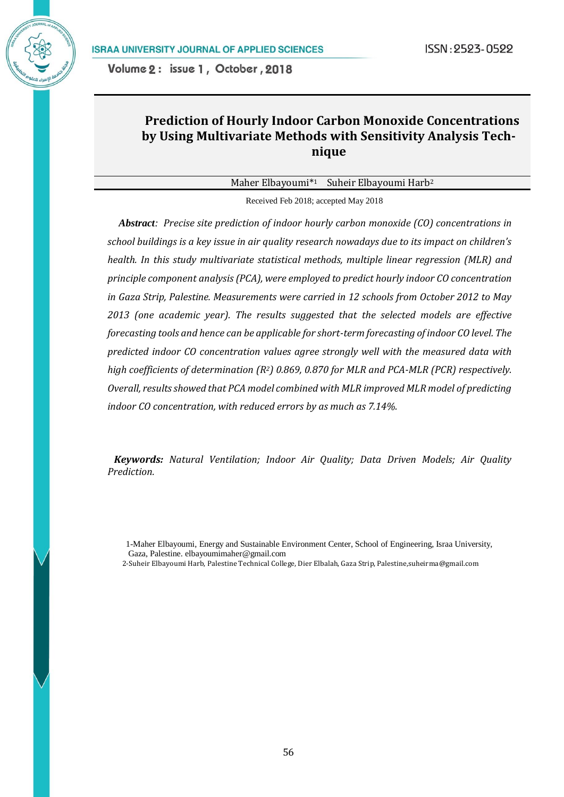# **Prediction of Hourly Indoor Carbon Monoxide Concentrations by Using Multivariate Methods with Sensitivity Analysis Technique**

Maher Elbayoumi\*<sup>1</sup> Suheir Elbayoumi Harb<sup>2</sup>

Received Feb 2018; accepted May 2018

 *Abstract: Precise site prediction of indoor hourly carbon monoxide (CO) concentrations in school buildings is a key issue in air quality research nowadays due to its impact on children's health. In this study multivariate statistical methods, multiple linear regression (MLR) and principle component analysis (PCA), were employed to predict hourly indoor CO concentration in Gaza Strip, Palestine. Measurements were carried in 12 schools from October 2012 to May 2013 (one academic year). The results suggested that the selected models are effective forecasting tools and hence can be applicable for short-term forecasting of indoor CO level. The predicted indoor CO concentration values agree strongly well with the measured data with high coefficients of determination (R2) 0.869, 0.870 for MLR and PCA-MLR (PCR) respectively. Overall, results showed that PCA model combined with MLR improved MLR model of predicting indoor CO concentration, with reduced errors by as much as 7.14%.*

*Keywords: Natural Ventilation; Indoor Air Quality; Data Driven Models; Air Quality Prediction.*

2-Suheir Elbayoumi Harb, Palestine Technical College, Dier Elbalah, Gaza Strip, Palestine,suheirma@gmail.com

<sup>1-</sup>Maher Elbayoumi, Energy and Sustainable Environment Center, School of Engineering, Israa University, Gaza, Palestine[. elbayoumimaher@gmail.com](mailto:elbayoumimaher@gmail.com)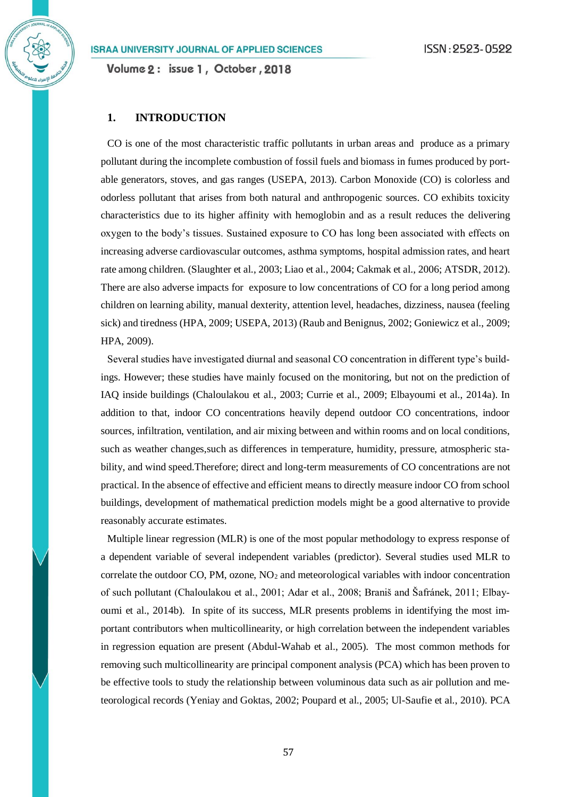**1. INTRODUCTION**

CO is one of the most characteristic traffic pollutants in urban areas and produce as a primary pollutant during the incomplete combustion of fossil fuels and biomass in fumes produced by portable generators, stoves, and gas ranges (USEPA, 2013). Carbon Monoxide (CO) is colorless and odorless pollutant that arises from both natural and anthropogenic sources. CO exhibits toxicity characteristics due to its higher affinity with hemoglobin and as a result reduces the delivering oxygen to the body's tissues. Sustained exposure to CO has long been associated with effects on increasing adverse cardiovascular outcomes, asthma symptoms, hospital admission rates, and heart rate among children. (Slaughter et al., 2003; Liao et al., 2004; Cakmak et al., 2006; ATSDR, 2012). There are also adverse impacts for exposure to low concentrations of CO for a long period among children on learning ability, manual dexterity, attention level, headaches, dizziness, nausea (feeling sick) and tiredness (HPA, 2009; USEPA, 2013) (Raub and Benignus, 2002; Goniewicz et al., 2009; HPA, 2009).

Several studies have investigated diurnal and seasonal CO concentration in different type's buildings. However; these studies have mainly focused on the monitoring, but not on the prediction of IAQ inside buildings (Chaloulakou et al., 2003; Currie et al., 2009; Elbayoumi et al., 2014a). In addition to that, indoor CO concentrations heavily depend outdoor CO concentrations, indoor sources, infiltration, ventilation, and air mixing between and within rooms and on local conditions, such as weather changes,such as differences in temperature, humidity, pressure, atmospheric stability, and wind speed.Therefore; direct and long-term measurements of CO concentrations are not practical. In the absence of effective and efficient means to directly measure indoor CO from school buildings, development of mathematical prediction models might be a good alternative to provide reasonably accurate estimates.

Multiple linear regression (MLR) is one of the most popular methodology to express response of a dependent variable of several independent variables (predictor). Several studies used MLR to correlate the outdoor CO, PM, ozone,  $NO<sub>2</sub>$  and meteorological variables with indoor concentration of such pollutant (Chaloulakou et al., 2001; Adar et al., 2008; Braniš and Šafránek, 2011; Elbayoumi et al., 2014b). In spite of its success, MLR presents problems in identifying the most important contributors when multicollinearity, or high correlation between the independent variables in regression equation are present (Abdul-Wahab et al., 2005). The most common methods for removing such multicollinearity are principal component analysis (PCA) which has been proven to be effective tools to study the relationship between voluminous data such as air pollution and meteorological records (Yeniay and Goktas, 2002; Poupard et al., 2005; Ul-Saufie et al., 2010). PCA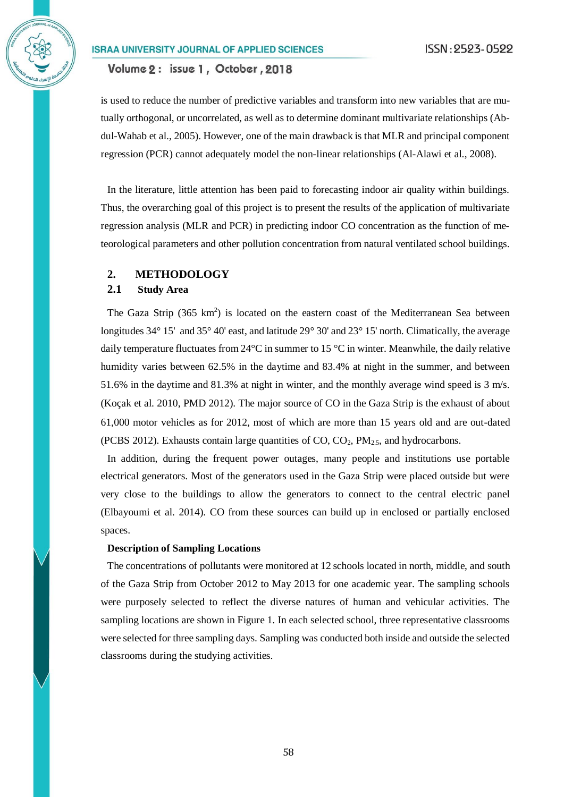Volume 2: issue 1, October, 2018

is used to reduce the number of predictive variables and transform into new variables that are mutually orthogonal, or uncorrelated, as well as to determine dominant multivariate relationships (Abdul-Wahab et al., 2005). However, one of the main drawback is that MLR and principal component regression (PCR) cannot adequately model the non-linear relationships (Al-Alawi et al., 2008).

In the literature, little attention has been paid to forecasting indoor air quality within buildings. Thus, the overarching goal of this project is to present the results of the application of multivariate regression analysis (MLR and PCR) in predicting indoor CO concentration as the function of meteorological parameters and other pollution concentration from natural ventilated school buildings.

### **2. METHODOLOGY**

## **2.1 Study Area**

The Gaza Strip  $(365 \text{ km}^2)$  is located on the eastern coast of the Mediterranean Sea between longitudes 34° 15' and 35° 40' east, and latitude 29° 30' and 23° 15' north. Climatically, the average daily temperature fluctuates from 24°C in summer to 15 °C in winter. Meanwhile, the daily relative humidity varies between 62.5% in the daytime and 83.4% at night in the summer, and between 51.6% in the daytime and 81.3% at night in winter, and the monthly average wind speed is 3 m/s. [\(Koçak et al. 2010,](#page-13-0) [PMD 2012\)](#page-14-0). The major source of CO in the Gaza Strip is the exhaust of about 61,000 motor vehicles as for 2012, most of which are more than 15 years old and are out-dated (PCBS 2012). Exhausts contain large quantities of  $CO$ ,  $CO<sub>2</sub>$ ,  $PM<sub>2.5</sub>$ , and hydrocarbons.

In addition, during the frequent power outages, many people and institutions use portable electrical generators. Most of the generators used in the Gaza Strip were placed outside but were very close to the buildings to allow the generators to connect to the central electric panel [\(Elbayoumi et al. 2014\)](#page-13-1). CO from these sources can build up in enclosed or partially enclosed spaces.

### **Description of Sampling Locations**

The concentrations of pollutants were monitored at 12 schools located in north, middle, and south of the Gaza Strip from October 2012 to May 2013 for one academic year. The sampling schools were purposely selected to reflect the diverse natures of human and vehicular activities. The sampling locations are shown in Figure 1. In each selected school, three representative classrooms were selected for three sampling days. Sampling was conducted both inside and outside the selected classrooms during the studying activities.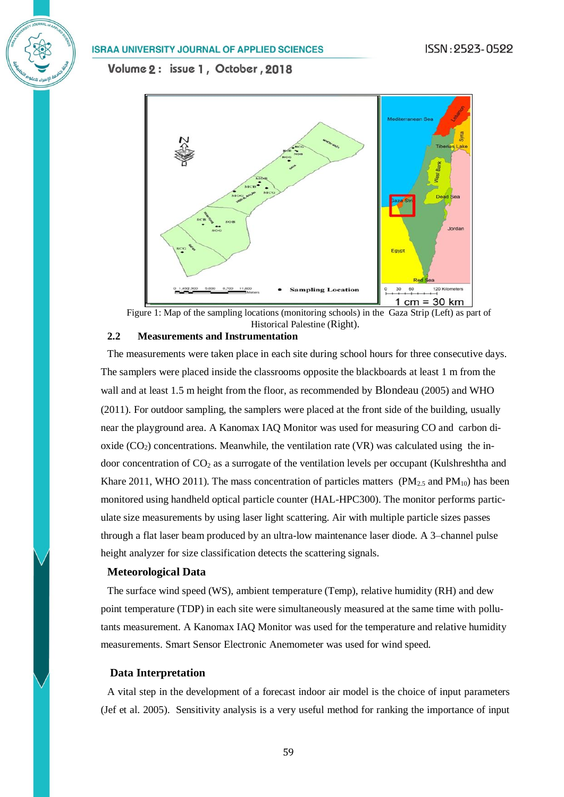Volume 2: issue 1, October, 2018





### **2.2 Measurements and Instrumentation**

The measurements were taken place in each site during school hours for three consecutive days. The samplers were placed inside the classrooms opposite the blackboards at least 1 m from the wall and at least 1.5 m height from the floor, as recommended by Blondeau (2005) and WHO (2011). For outdoor sampling, the samplers were placed at the front side of the building, usually near the playground area. A Kanomax IAQ Monitor was used for measuring CO and carbon dioxide  $(CO<sub>2</sub>)$  concentrations. Meanwhile, the ventilation rate (VR) was calculated using the indoor concentration of  $CO<sub>2</sub>$  as a surrogate of the ventilation levels per occupant (Kulshreshtha and [Khare 2011,](#page-14-1) [WHO 2011\)](#page-14-2). The mass concentration of particles matters ( $PM_{2.5}$  and  $PM_{10}$ ) has been monitored using handheld optical particle counter (HAL-HPC300). The monitor performs particulate size measurements by using laser light scattering. Air with multiple particle sizes passes through a flat laser beam produced by an ultra-low maintenance laser diode. A 3–channel pulse height analyzer for size classification detects the scattering signals.

### **Meteorological Data**

The surface wind speed (WS), ambient temperature (Temp), relative humidity (RH) and dew point temperature (TDP) in each site were simultaneously measured at the same time with pollutants measurement. A Kanomax IAQ Monitor was used for the temperature and relative humidity measurements. Smart Sensor Electronic Anemometer was used for wind speed.

### **Data Interpretation**

A vital step in the development of a forecast indoor air model is the choice of input parameters [\(Jef et al. 2005\)](#page-13-2). Sensitivity analysis is a very useful method for ranking the importance of input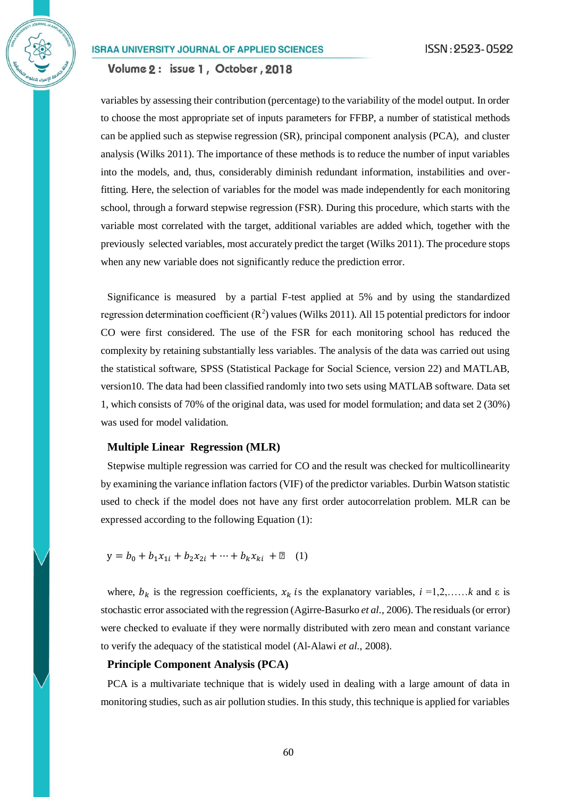Volume 2: issue 1, October, 2018

variables by assessing their contribution (percentage) to the variability of the model output. In order to choose the most appropriate set of inputs parameters for FFBP, a number of statistical methods can be applied such as stepwise regression (SR), principal component analysis (PCA), and cluster analysis [\(Wilks 2011\)](#page-14-3). The importance of these methods is to reduce the number of input variables into the models, and, thus, considerably diminish redundant information, instabilities and overfitting. Here, the selection of variables for the model was made independently for each monitoring school, through a forward stepwise regression (FSR). During this procedure, which starts with the variable most correlated with the target, additional variables are added which, together with the previously selected variables, most accurately predict the target [\(Wilks 2011\)](#page-14-3). The procedure stops when any new variable does not significantly reduce the prediction error.

Significance is measured by a partial F-test applied at 5% and by using the standardized regression determination coefficient  $(R^2)$  values [\(Wilks 2011\)](#page-14-3). All 15 potential predictors for indoor CO were first considered. The use of the FSR for each monitoring school has reduced the complexity by retaining substantially less variables. The analysis of the data was carried out using the statistical software, SPSS (Statistical Package for Social Science, version 22) and MATLAB, version10. The data had been classified randomly into two sets using MATLAB software. Data set 1, which consists of 70% of the original data, was used for model formulation; and data set 2 (30%) was used for model validation.

### **Multiple Linear Regression (MLR)**

Stepwise multiple regression was carried for CO and the result was checked for multicollinearity by examining the variance inflation factors (VIF) of the predictor variables. Durbin Watson statistic used to check if the model does not have any first order autocorrelation problem. MLR can be expressed according to the following Equation (1):

 $y = b_0 + b_1 x_{1i} + b_2 x_{2i} + \cdots + b_k x_{ki} + \mathbb{Z}$  (1)

where,  $b_k$  is the regression coefficients,  $x_k$  is the explanatory variables,  $i = 1, 2, \ldots, k$  and  $\varepsilon$  is stochastic error associated with the regression [\(Agirre-Basurko](#page-13-3) *et al.*, 2006). The residuals (or error) were checked to evaluate if they were normally distributed with zero mean and constant variance to verify the adequacy of the statistical model [\(Al-Alawi](#page-13-4) *et al.*, 2008).

### **Principle Component Analysis (PCA)**

PCA is a multivariate technique that is widely used in dealing with a large amount of data in monitoring studies, such as air pollution studies. In this study, this technique is applied for variables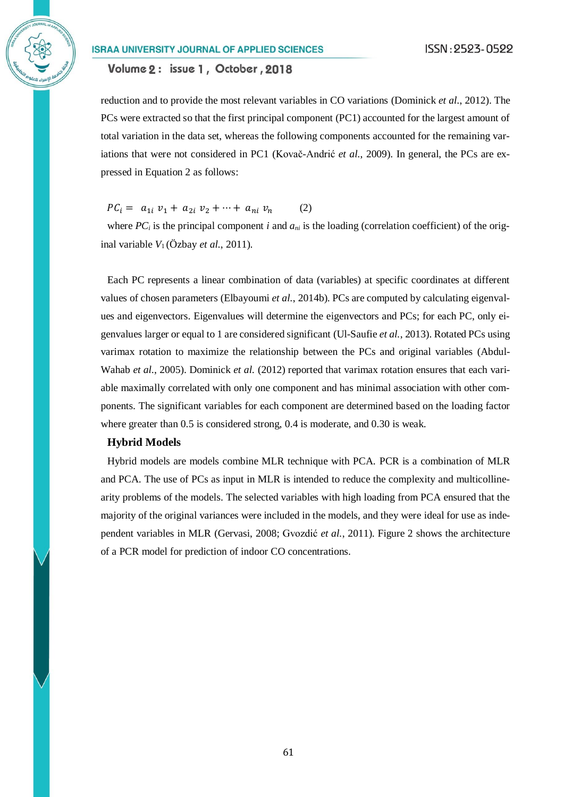## Volume 2: issue 1, October, 2018

reduction and to provide the most relevant variables in CO variations [\(Dominick](#page-13-2) *et al.*, 2012). The PCs were extracted so that the first principal component (PC1) accounted for the largest amount of total variation in the data set, whereas the following components accounted for the remaining variations that were not considered in PC1 [\(Kovač-Andrić](#page-14-4) *et al.*, 2009). In general, the PCs are expressed in Equation 2 as follows:

 $PC_i = a_{1i} v_1 + a_{2i} v_2 + \cdots + a_{ni} v_n$  (2)

where  $PC_i$  is the principal component *i* and  $a_{ni}$  is the loading (correlation coefficient) of the original variable  $V_1$  [\(Özbay](#page-14-5) *et al.*, 2011).

Each PC represents a linear combination of data (variables) at specific coordinates at different values of chosen parameters [\(Elbayoumi](#page-14-1) *et al.*, 2014b). PCs are computed by calculating eigenvalues and eigenvectors. Eigenvalues will determine the eigenvectors and PCs; for each PC, only eigenvalues larger or equal to 1 are considered significant [\(Ul-Saufie](#page-15-0) *et al.*, 2013). Rotated PCs using varimax rotation to maximize the relationship between the PCs and original variables [\(Abdul-](#page-13-5)[Wahab](#page-13-5) *et al.*, 2005). [Dominick](#page-13-2) *et al.* (2012) reported that varimax rotation ensures that each variable maximally correlated with only one component and has minimal association with other components. The significant variables for each component are determined based on the loading factor where greater than 0.5 is considered strong, 0.4 is moderate, and 0.30 is weak.

### **Hybrid Models**

Hybrid models are models combine MLR technique with PCA. PCR is a combination of MLR and PCA. The use of PCs as input in MLR is intended to reduce the complexity and multicollinearity problems of the models. The selected variables with high loading from PCA ensured that the majority of the original variances were included in the models, and they were ideal for use as independent variables in MLR [\(Gervasi, 2008;](#page-14-6) [Gvozdić](#page-14-0) *et al.*, 2011). Figure 2 shows the architecture of a PCR model for prediction of indoor CO concentrations.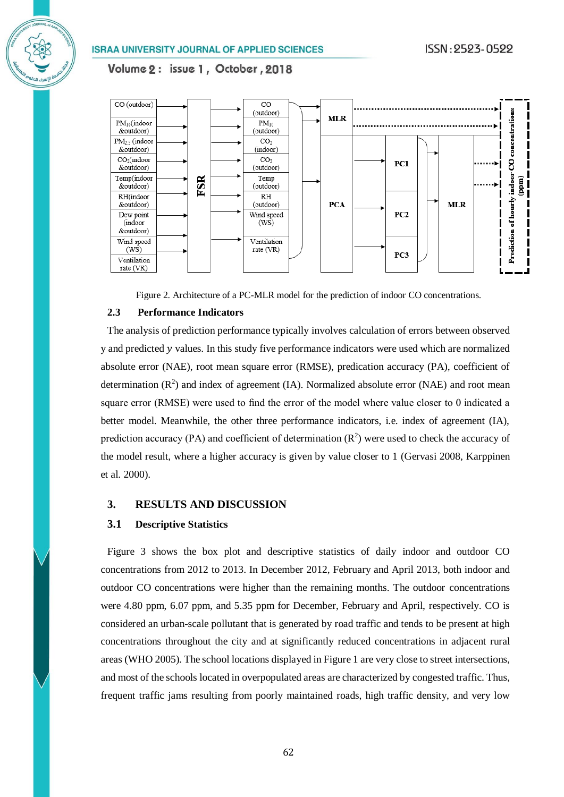## Volume 2: issue 1, October, 2018



Figure 2. Architecture of a PC-MLR model for the prediction of indoor CO concentrations.

### **2.3 Performance Indicators**

The analysis of prediction performance typically involves calculation of errors between observed  $y$  and predicted  $y$  values. In this study five performance indicators were used which are normalized absolute error (NAE), root mean square error (RMSE), predication accuracy (PA), coefficient of determination  $(R^2)$  and index of agreement (IA). Normalized absolute error (NAE) and root mean square error (RMSE) were used to find the error of the model where value closer to 0 indicated a better model. Meanwhile, the other three performance indicators, i.e. index of agreement (IA), prediction accuracy (PA) and coefficient of determination  $(R^2)$  were used to check the accuracy of the model result, where a higher accuracy is given by value closer to 1 [\(Gervasi 2008,](#page-13-6) Karppinen et al. 2000).

## **3. RESULTS AND DISCUSSION**

### **3.1 Descriptive Statistics**

Figure 3 shows the box plot and descriptive statistics of daily indoor and outdoor CO concentrations from 2012 to 2013. In December 2012, February and April 2013, both indoor and outdoor CO concentrations were higher than the remaining months. The outdoor concentrations were 4.80 ppm, 6.07 ppm, and 5.35 ppm for December, February and April, respectively. CO is considered an urban-scale pollutant that is generated by road traffic and tends to be present at high concentrations throughout the city and at significantly reduced concentrations in adjacent rural areas (WHO 2005). The school locations displayed in Figure 1 are very close to street intersections, and most of the schools located in overpopulated areas are characterized by congested traffic. Thus, frequent traffic jams resulting from poorly maintained roads, high traffic density, and very low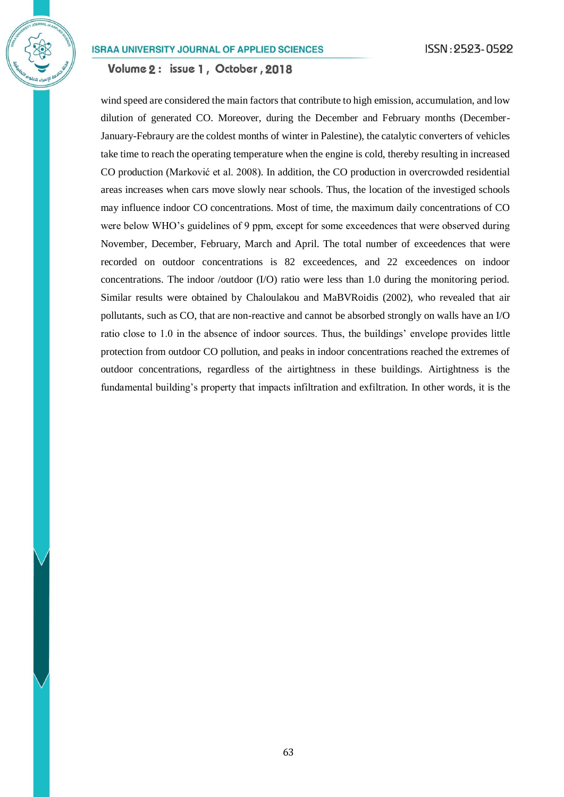Volume 2: issue 1, October, 2018

wind speed are considered the main factors that contribute to high emission, accumulation, and low dilution of generated CO. Moreover, during the December and February months (December-January-Febraury are the coldest months of winter in Palestine), the catalytic converters of vehicles take time to reach the operating temperature when the engine is cold, thereby resulting in increased CO production [\(Marković et al. 2008\)](#page-14-6). In addition, the CO production in overcrowded residential areas increases when cars move slowly near schools. Thus, the location of the investiged schools may influence indoor CO concentrations. Most of time, the maximum daily concentrations of CO were below WHO's guidelines of 9 ppm, except for some exceedences that were observed during November, December, February, March and April. The total number of exceedences that were recorded on outdoor concentrations is 82 exceedences, and 22 exceedences on indoor concentrations. The indoor /outdoor  $(I/O)$  ratio were less than 1.0 during the monitoring period. Similar results were obtained by Chaloulakou and MaBVRoidis (2002), who revealed that air pollutants, such as CO, that are non-reactive and cannot be absorbed strongly on walls have an I/O ratio close to 1.0 in the absence of indoor sources. Thus, the buildings' envelope provides little protection from outdoor CO pollution, and peaks in indoor concentrations reached the extremes of outdoor concentrations, regardless of the airtightness in these buildings. Airtightness is the fundamental building's property that impacts infiltration and exfiltration. In other words, it is the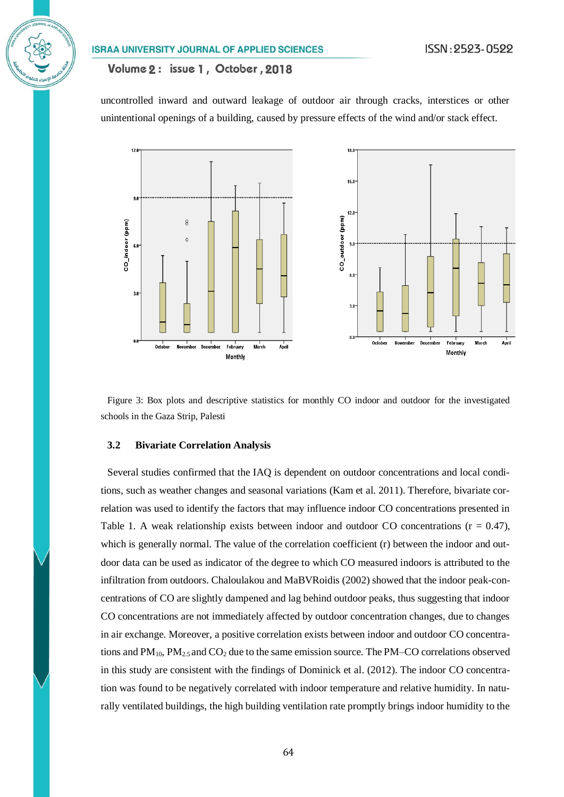## Volume 2: issue 1, October, 2018

uncontrolled inward and outward leakage of outdoor air through cracks, interstices or other unintentional openings of a building, caused by pressure effects of the wind and/or stack effect.



Figure 3: Box plots and descriptive statistics for monthly CO indoor and outdoor for the investigated schools in the Gaza Strip, Palesti

#### **3.2 Bivariate Correlation Analysis**

Several studies confirmed that the IAQ is dependent on outdoor concentrations and local conditions, such as weather changes and seasonal variations (Kam et al. 2011). Therefore, bivariate correlation was used to identify the factors that may influence indoor CO concentrations presented in Table 1. A weak relationship exists between indoor and outdoor CO concentrations  $(r = 0.47)$ , which is generally normal. The value of the correlation coefficient (r) between the indoor and outdoor data can be used as indicator of the degree to which CO measured indoors is attributed to the infiltration from outdoors. Chaloulakou and MaBVRoidis (2002) showed that the indoor peak-concentrations of CO are slightly dampened and lag behind outdoor peaks, thus suggesting that indoor CO concentrations are not immediately affected by outdoor concentration changes, due to changes in air exchange. Moreover, a positive correlation exists between indoor and outdoor CO concentrations and  $PM_{10}$ ,  $PM_{2.5}$  and  $CO_2$  due to the same emission source. The PM–CO correlations observed in this study are consistent with the findings of Dominick et al. (2012). The indoor CO concentration was found to be negatively correlated with indoor temperature and relative humidity. In naturally ventilated buildings, the high building ventilation rate promptly brings indoor humidity to the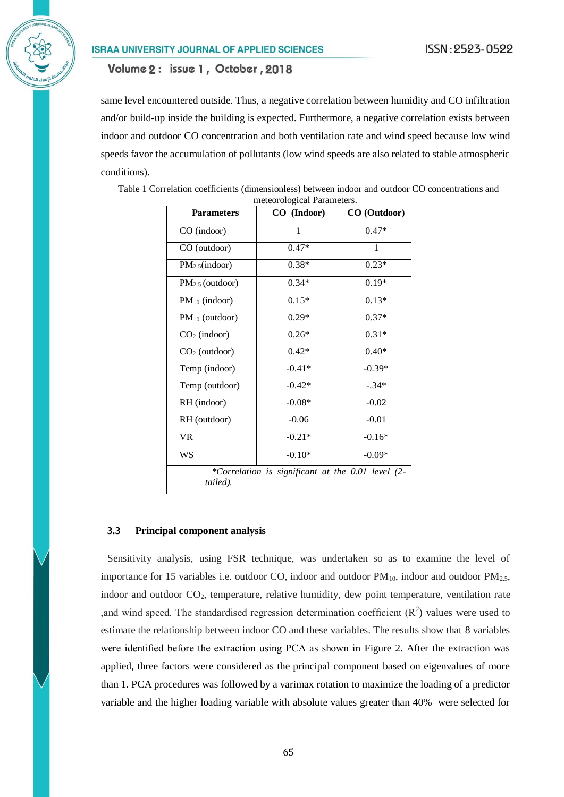same level encountered outside. Thus, a negative correlation between humidity and CO infiltration and/or build-up inside the building is expected. Furthermore, a negative correlation exists between indoor and outdoor CO concentration and both ventilation rate and wind speed because low wind speeds favor the accumulation of pollutants (low wind speeds are also related to stable atmospheric conditions).

| <b>Parameters</b>           | CO (Indoor)                                       | CO (Outdoor) |
|-----------------------------|---------------------------------------------------|--------------|
| CO (indoor)                 | 1                                                 | $0.47*$      |
| CO (outdoor)                | $0.47*$                                           | 1            |
| PM <sub>2.5</sub> (indoor)  | $0.38*$                                           | $0.23*$      |
| PM <sub>2.5</sub> (outdoor) | $0.34*$                                           | $0.19*$      |
| $PM_{10}$ (indoor)          | $0.15*$                                           | $0.13*$      |
| $PM_{10}$ (outdoor)         | $0.29*$                                           | $0.37*$      |
| $CO2$ (indoor)              | $0.26*$                                           | $0.31*$      |
| $CO2$ (outdoor)             | $0.42*$                                           | $0.40*$      |
| Temp (indoor)               | $-0.41*$                                          | $-0.39*$     |
| Temp (outdoor)              | $-0.42*$                                          | $-.34*$      |
| RH (indoor)                 | $-0.08*$                                          | $-0.02$      |
| RH (outdoor)                | $-0.06$                                           | $-0.01$      |
| VR                          | $-0.21*$                                          | $-0.16*$     |
| WS                          | $-0.10*$                                          | $-0.09*$     |
| tailed).                    | *Correlation is significant at the 0.01 level (2- |              |

Table 1 Correlation coefficients (dimensionless) between indoor and outdoor CO concentrations and meteorological Parameters.

### **3.3 Principal component analysis**

Sensitivity analysis, using FSR technique, was undertaken so as to examine the level of importance for 15 variables i.e. outdoor CO, indoor and outdoor  $PM_{10}$ , indoor and outdoor  $PM_{2.5}$ , indoor and outdoor CO<sub>2</sub>, temperature, relative humidity, dew point temperature, ventilation rate , and wind speed. The standardised regression determination coefficient  $(R^2)$  values were used to estimate the relationship between indoor CO and these variables. The results show that 8 variables were identified before the extraction using PCA as shown in Figure 2. After the extraction was applied, three factors were considered as the principal component based on eigenvalues of more than 1. PCA procedures was followed by a varimax rotation to maximize the loading of a predictor variable and the higher loading variable with absolute values greater than 40% were selected for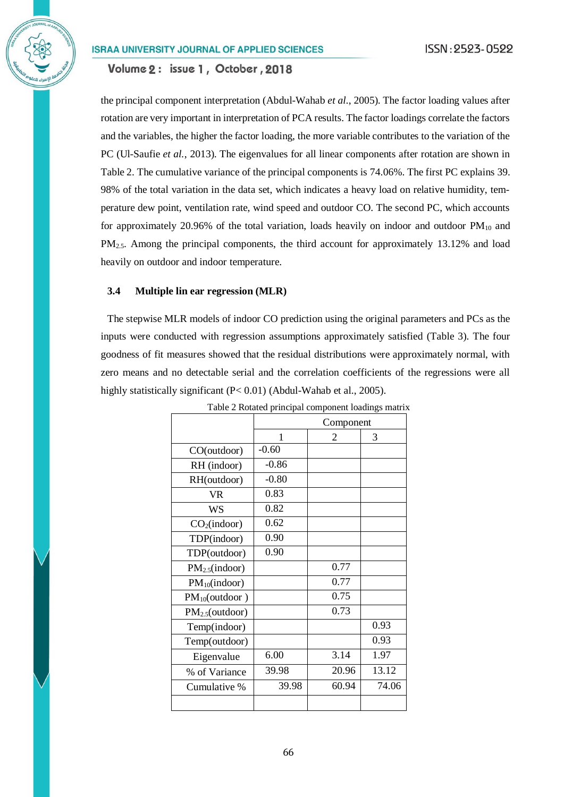Volume 2: issue 1, October, 2018

the principal component interpretation [\(Abdul-Wahab](#page-13-5) *et al.*, 2005). The factor loading values after rotation are very important in interpretation of PCA results. The factor loadings correlate the factors and the variables, the higher the factor loading, the more variable contributes to the variation of the PC [\(Ul-Saufie](#page-15-0) *et al.*, 2013). The eigenvalues for all linear components after rotation are shown in Table 2. The cumulative variance of the principal components is 74.06%. The first PC explains 39. 98% of the total variation in the data set, which indicates a heavy load on relative humidity, temperature dew point, ventilation rate, wind speed and outdoor CO. The second PC, which accounts for approximately 20.96% of the total variation, loads heavily on indoor and outdoor  $PM_{10}$  and PM<sub>2.5</sub>. Among the principal components, the third account for approximately 13.12% and load heavily on outdoor and indoor temperature.

### **3.4 Multiple lin ear regression (MLR)**

The stepwise MLR models of indoor CO prediction using the original parameters and PCs as the inputs were conducted with regression assumptions approximately satisfied (Table 3). The four goodness of fit measures showed that the residual distributions were approximately normal, with zero means and no detectable serial and the correlation coefficients of the regressions were all highly statistically significant (P< 0.01) [\(Abdul-Wahab et al., 2005\)](#page-13-5).

|                             | Component |       |       |
|-----------------------------|-----------|-------|-------|
|                             | 1         | 2     | 3     |
| CO(outdoor)                 | $-0.60$   |       |       |
| RH (indoor)                 | $-0.86$   |       |       |
| RH(outdoor)                 | $-0.80$   |       |       |
| VR                          | 0.83      |       |       |
| <b>WS</b>                   | 0.82      |       |       |
| CO <sub>2</sub> (indoor)    | 0.62      |       |       |
| TDP(indoor)                 | 0.90      |       |       |
| TDP(outdoor)                | 0.90      |       |       |
| PM <sub>2.5</sub> (indoor)  |           | 0.77  |       |
| $PM_{10}(indoor)$           |           | 0.77  |       |
| $PM_{10}(outdoor)$          |           | 0.75  |       |
| PM <sub>2.5</sub> (outdoor) |           | 0.73  |       |
| Temp(indoor)                |           |       | 0.93  |
| Temp(outdoor)               |           |       | 0.93  |
| Eigenvalue                  | 6.00      | 3.14  | 1.97  |
| % of Variance               | 39.98     | 20.96 | 13.12 |
| Cumulative %                | 39.98     | 60.94 | 74.06 |
|                             |           |       |       |

Table 2 Rotated principal component loadings matrix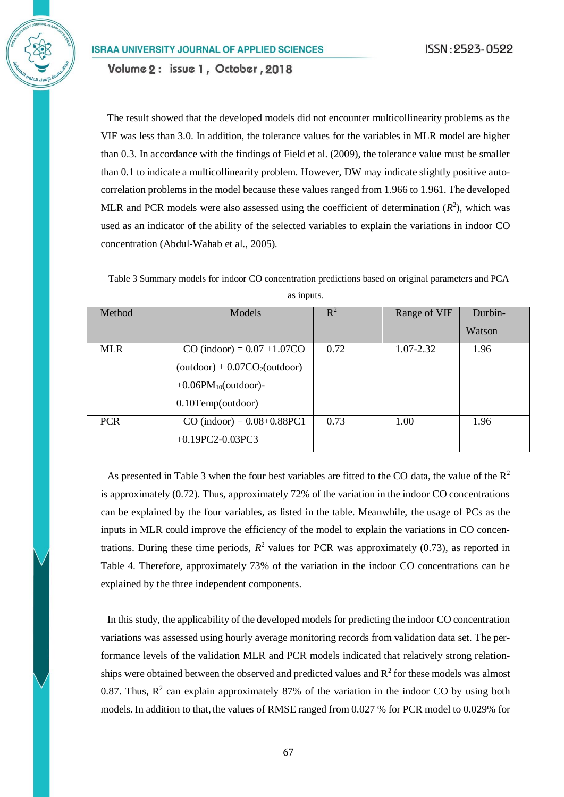The result showed that the developed models did not encounter multicollinearity problems as the VIF was less than 3.0. In addition, the tolerance values for the variables in MLR model are higher than 0.3. In accordance with the findings of Field et al. (2009), the tolerance value must be smaller than 0.1 to indicate a multicollinearity problem. However, DW may indicate slightly positive autocorrelation problems in the model because these values ranged from 1.966 to 1.961. The developed MLR and PCR models were also assessed using the coefficient of determination  $(R^2)$ , which was used as an indicator of the ability of the selected variables to explain the variations in indoor CO concentration (Abdul-Wahab et al., 2005).

Table 3 Summary models for indoor CO concentration predictions based on original parameters and PCA as inputs.

| Method     | Models                              | $R^2$ | Range of VIF  | Durbin- |
|------------|-------------------------------------|-------|---------------|---------|
|            |                                     |       |               | Watson  |
| <b>MLR</b> | $CO$ (indoor) = $0.07 + 1.07CO$     | 0.72  | $1.07 - 2.32$ | 1.96    |
|            | $(outdoor) + 0.07CO2(outdoor)$      |       |               |         |
|            | $+0.06$ PM <sub>10</sub> (outdoor)- |       |               |         |
|            | $0.10$ Temp(outdoor)                |       |               |         |
| <b>PCR</b> | $CO$ (indoor) = $0.08+0.88PC1$      | 0.73  | 1.00          | 1.96    |
|            | $+0.19$ PC2-0.03PC3                 |       |               |         |

As presented in Table 3 when the four best variables are fitted to the CO data, the value of the  $\mathbb{R}^2$ is approximately (0.72). Thus, approximately 72% of the variation in the indoor CO concentrations can be explained by the four variables, as listed in the table. Meanwhile, the usage of PCs as the inputs in MLR could improve the efficiency of the model to explain the variations in CO concentrations. During these time periods,  $R^2$  values for PCR was approximately (0.73), as reported in Table 4. Therefore, approximately 73% of the variation in the indoor CO concentrations can be explained by the three independent components.

In this study, the applicability of the developed models for predicting the indoor CO concentration variations was assessed using hourly average monitoring records from validation data set. The performance levels of the validation MLR and PCR models indicated that relatively strong relationships were obtained between the observed and predicted values and  $R^2$  for these models was almost 0.87. Thus,  $R^2$  can explain approximately 87% of the variation in the indoor CO by using both models.In addition to that, the values of RMSE ranged from 0.027 % for PCR model to 0.029% for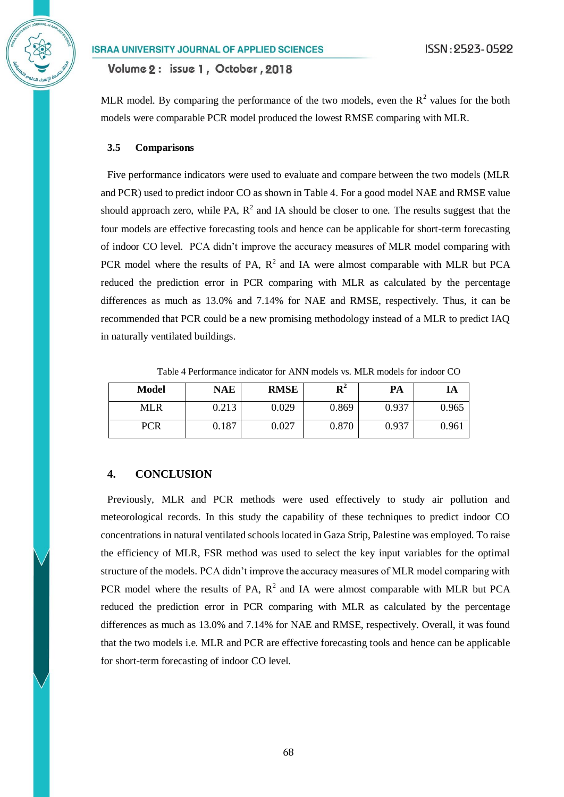Volume 2: issue 1, October, 2018

MLR model. By comparing the performance of the two models, even the  $R^2$  values for the both models were comparable PCR model produced the lowest RMSE comparing with MLR.

#### **3.5 Comparisons**

Five performance indicators were used to evaluate and compare between the two models (MLR and PCR) used to predict indoor CO as shown in Table 4. For a good model NAE and RMSE value should approach zero, while PA,  $R^2$  and IA should be closer to one. The results suggest that the four models are effective forecasting tools and hence can be applicable for short-term forecasting of indoor CO level. PCA didn't improve the accuracy measures of MLR model comparing with PCR model where the results of PA,  $R^2$  and IA were almost comparable with MLR but PCA reduced the prediction error in PCR comparing with MLR as calculated by the percentage differences as much as 13.0% and 7.14% for NAE and RMSE, respectively. Thus, it can be recommended that PCR could be a new promising methodology instead of a MLR to predict IAQ in naturally ventilated buildings.

| <b>Model</b> | <b>NAE</b> | <b>RMSE</b> | D4    | PA    | IA    |
|--------------|------------|-------------|-------|-------|-------|
| MLR          | 0.213      | 0.029       | 0.869 | 0.937 | 0.965 |
| PCR          | 0.187      | 0.027       | 0.870 | 0.937 | 0.961 |

Table 4 Performance indicator for ANN models vs. MLR models for indoor CO

## **4. CONCLUSION**

Previously, MLR and PCR methods were used effectively to study air pollution and meteorological records. In this study the capability of these techniques to predict indoor CO concentrations in natural ventilated schools located in Gaza Strip, Palestine was employed. To raise the efficiency of MLR, FSR method was used to select the key input variables for the optimal structure of the models. PCA didn't improve the accuracy measures of MLR model comparing with PCR model where the results of PA,  $R^2$  and IA were almost comparable with MLR but PCA reduced the prediction error in PCR comparing with MLR as calculated by the percentage differences as much as 13.0% and 7.14% for NAE and RMSE, respectively. Overall, it was found that the two models i.e. MLR and PCR are effective forecasting tools and hence can be applicable for short-term forecasting of indoor CO level.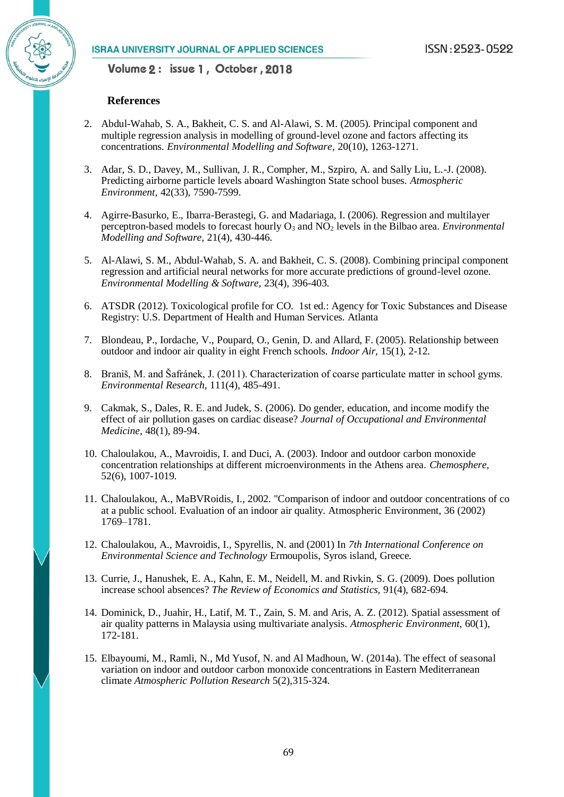### **References**

- <span id="page-13-5"></span>2. Abdul-Wahab, S. A., Bakheit, C. S. and Al-Alawi, S. M. (2005). Principal component and multiple regression analysis in modelling of ground-level ozone and factors affecting its concentrations. *Environmental Modelling and Software,* 20(10), 1263-1271.
- 3. Adar, S. D., Davey, M., Sullivan, J. R., Compher, M., Szpiro, A. and Sally Liu, L.-J. (2008). Predicting airborne particle levels aboard Washington State school buses. *Atmospheric Environment,* 42(33), 7590-7599.
- <span id="page-13-3"></span>4. Agirre-Basurko, E., Ibarra-Berastegi, G. and Madariaga, I. (2006). Regression and multilayer perceptron-based models to forecast hourly O<sub>3</sub> and NO<sub>2</sub> levels in the Bilbao area. *Environmental Modelling and Software,* 21(4), 430-446.
- <span id="page-13-4"></span>5. Al-Alawi, S. M., Abdul-Wahab, S. A. and Bakheit, C. S. (2008). Combining principal component regression and artificial neural networks for more accurate predictions of ground-level ozone. *Environmental Modelling & Software,* 23(4), 396-403.
- 6. ATSDR (2012). Toxicological profile for CO*.* 1st ed.: Agency for Toxic Substances and Disease Registry: U.S. Department of Health and Human Services. Atlanta
- <span id="page-13-1"></span>7. Blondeau, P., Iordache, V., Poupard, O., Genin, D. and Allard, F. (2005). Relationship between outdoor and indoor air quality in eight French schools. *Indoor Air,* 15(1), 2-12.
- 8. Braniš, M. and Šafránek, J. (2011). Characterization of coarse particulate matter in school gyms. *Environmental Research,* 111(4), 485-491.
- <span id="page-13-6"></span>9. Cakmak, S., Dales, R. E. and Judek, S. (2006). Do gender, education, and income modify the effect of air pollution gases on cardiac disease? *Journal of Occupational and Environmental Medicine,* 48(1), 89-94.
- 10. Chaloulakou, A., Mavroidis, I. and Duci, A. (2003). Indoor and outdoor carbon monoxide concentration relationships at different microenvironments in the Athens area. *Chemosphere,*  52(6), 1007-1019.
- 11. Chaloulakou, A., MaBVRoidis, I., 2002. "Comparison of indoor and outdoor concentrations of co at a public school. Evaluation of an indoor air quality. Atmospheric Environment, 36 (2002) 1769–1781.
- 12. Chaloulakou, A., Mavroidis, I., Spyrellis, N. and (2001) In *7th International Conference on Environmental Science and Technology* Ermoupolis, Syros island, Greece.
- 13. Currie, J., Hanushek, E. A., Kahn, E. M., Neidell, M. and Rivkin, S. G. (2009). Does pollution increase school absences? *The Review of Economics and Statistics,* 91(4), 682-694.
- <span id="page-13-2"></span>14. Dominick, D., Juahir, H., Latif, M. T., Zain, S. M. and Aris, A. Z. (2012). Spatial assessment of air quality patterns in Malaysia using multivariate analysis. *Atmospheric Environment,* 60(1), 172-181.
- <span id="page-13-0"></span>15. Elbayoumi, M., Ramli, N., Md Yusof, N. and Al Madhoun, W. (2014a). The effect of seasonal variation on indoor and outdoor carbon monoxide concentrations in Eastern Mediterranean climate *Atmospheric Pollution Research* 5(2),315-324.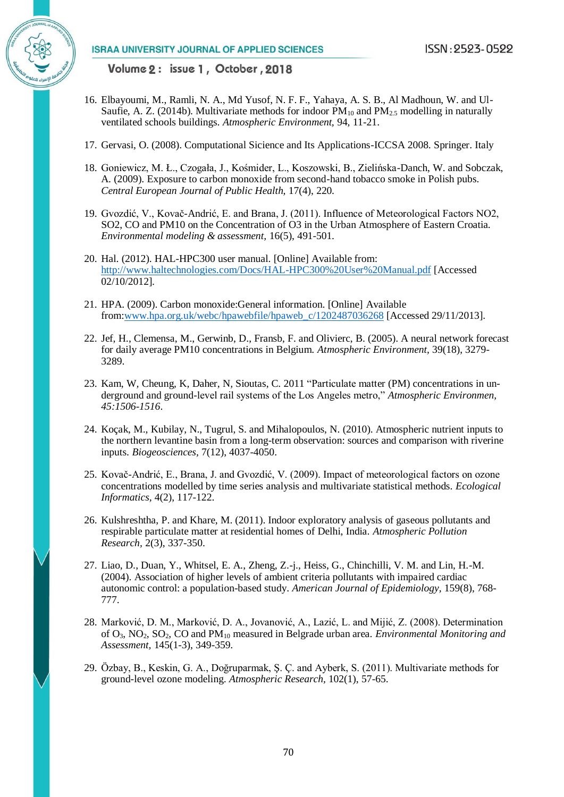

- <span id="page-14-1"></span>16. Elbayoumi, M., Ramli, N. A., Md Yusof, N. F. F., Yahaya, A. S. B., Al Madhoun, W. and Ul-Saufie, A. Z. (2014b). Multivariate methods for indoor  $PM_{10}$  and  $PM_{25}$  modelling in naturally ventilated schools buildings. *Atmospheric Environment,* 94, 11-21.
- <span id="page-14-6"></span>17. Gervasi, O. (2008). Computational Sicience and Its Applications-ICCSA 2008*.* Springer. Italy
- 18. Goniewicz, M. Ł., Czogała, J., Kośmider, L., Koszowski, B., Zielińska-Danch, W. and Sobczak, A. (2009). Exposure to carbon monoxide from second-hand tobacco smoke in Polish pubs. *Central European Journal of Public Health,* 17(4), 220.
- <span id="page-14-0"></span>19. Gvozdić, V., Kovač-Andrić, E. and Brana, J. (2011). Influence of Meteorological Factors NO2, SO2, CO and PM10 on the Concentration of O3 in the Urban Atmosphere of Eastern Croatia. *Environmental modeling & assessment,* 16(5), 491-501.
- 20. Hal. (2012). HAL-HPC300 user manual. [Online] Available from: <http://www.haltechnologies.com/Docs/HAL-HPC300%20User%20Manual.pdf> [Accessed 02/10/2012].
- 21. HPA. (2009). Carbon monoxide:General information. [Online] Available from[:www.hpa.org.uk/webc/hpawebfile/hpaweb\\_c/1202487036268](http://www.hpa.org.uk/webc/hpawebfile/hpaweb_c/1202487036268‎) [Accessed 29/11/2013].
- 22. Jef, H., Clemensa, M., Gerwinb, D., Fransb, F. and Olivierc, B. (2005). A neural network forecast for daily average PM10 concentrations in Belgium. *Atmospheric Environment,* 39(18), 3279- 3289.
- 23. Kam, W*,* Cheung, K*,* Daher, N*,* Sioutas, C. 2011 "Particulate matter (PM) concentrations in underground and ground-level rail systems of the Los Angeles metro," *Atmospheric Environmen, 45:1506-1516*.
- 24. Koçak, M., Kubilay, N., Tugrul, S. and Mihalopoulos, N. (2010). Atmospheric nutrient inputs to the northern levantine basin from a long-term observation: sources and comparison with riverine inputs. *Biogeosciences,* 7(12), 4037-4050.
- <span id="page-14-4"></span>25. Kovač-Andrić, E., Brana, J. and Gvozdić, V. (2009). Impact of meteorological factors on ozone concentrations modelled by time series analysis and multivariate statistical methods. *Ecological Informatics,* 4(2), 117-122.
- 26. Kulshreshtha, P. and Khare, M. (2011). Indoor exploratory analysis of gaseous pollutants and respirable particulate matter at residential homes of Delhi, India. *Atmospheric Pollution Research,* 2(3), 337-350.
- <span id="page-14-2"></span>27. Liao, D., Duan, Y., Whitsel, E. A., Zheng, Z.-j., Heiss, G., Chinchilli, V. M. and Lin, H.-M. (2004). Association of higher levels of ambient criteria pollutants with impaired cardiac autonomic control: a population-based study. *American Journal of Epidemiology,* 159(8), 768- 777.
- <span id="page-14-3"></span>28. Marković, D. M., Marković, D. A., Jovanović, A., Lazić, L. and Mijić, Z. (2008). Determination of O3, NO2, SO2, CO and PM<sup>10</sup> measured in Belgrade urban area. *Environmental Monitoring and Assessment,* 145(1-3), 349-359.
- <span id="page-14-5"></span>29. Özbay, B., Keskin, G. A., Doğruparmak, Ş. Ç. and Ayberk, S. (2011). Multivariate methods for ground-level ozone modeling. *Atmospheric Research,* 102(1), 57-65.